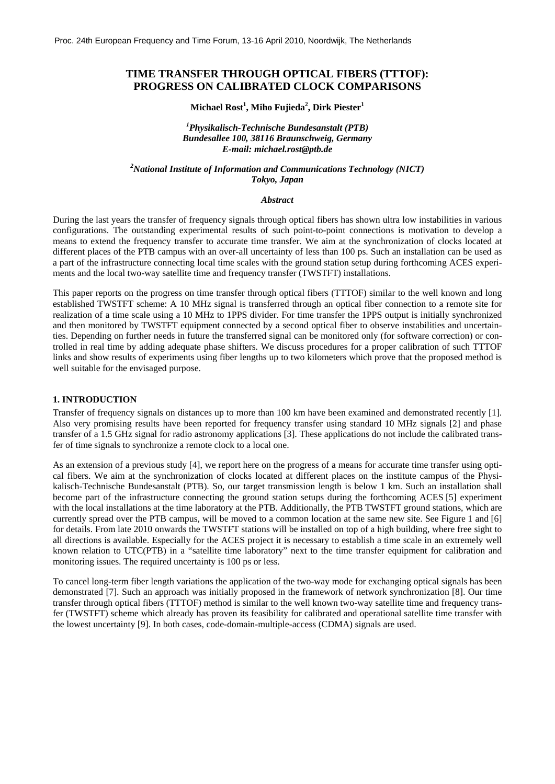# **TIME TRANSFER THROUGH OPTICAL FIBERS (TTTOF): PROGRESS ON CALIBRATED CLOCK COMPARISONS**

## $\mathbf{Michael \, Rost}^{1}, \mathbf{Mibo \, \, Fujieda}^{2}, \mathbf{Dirk \, \, Piester}^{1}$

## *1 Physikalisch-Technische Bundesanstalt (PTB) Bundesallee 100, 38116 Braunschweig, Germany E-mail: michael.rost@ptb.de*

*2 National Institute of Information and Communications Technology (NICT) Tokyo, Japan* 

### *Abstract*

During the last years the transfer of frequency signals through optical fibers has shown ultra low instabilities in various configurations. The outstanding experimental results of such point-to-point connections is motivation to develop a means to extend the frequency transfer to accurate time transfer. We aim at the synchronization of clocks located at different places of the PTB campus with an over-all uncertainty of less than 100 ps. Such an installation can be used as a part of the infrastructure connecting local time scales with the ground station setup during forthcoming ACES experiments and the local two-way satellite time and frequency transfer (TWSTFT) installations.

This paper reports on the progress on time transfer through optical fibers (TTTOF) similar to the well known and long established TWSTFT scheme: A 10 MHz signal is transferred through an optical fiber connection to a remote site for realization of a time scale using a 10 MHz to 1PPS divider. For time transfer the 1PPS output is initially synchronized and then monitored by TWSTFT equipment connected by a second optical fiber to observe instabilities and uncertainties. Depending on further needs in future the transferred signal can be monitored only (for software correction) or controlled in real time by adding adequate phase shifters. We discuss procedures for a proper calibration of such TTTOF links and show results of experiments using fiber lengths up to two kilometers which prove that the proposed method is well suitable for the envisaged purpose.

#### **1. INTRODUCTION**

Transfer of frequency signals on distances up to more than 100 km have been examined and demonstrated recently [1]. Also very promising results have been reported for frequency transfer using standard 10 MHz signals [2] and phase transfer of a 1.5 GHz signal for radio astronomy applications [3]. These applications do not include the calibrated transfer of time signals to synchronize a remote clock to a local one.

As an extension of a previous study [4], we report here on the progress of a means for accurate time transfer using optical fibers. We aim at the synchronization of clocks located at different places on the institute campus of the Physikalisch-Technische Bundesanstalt (PTB). So, our target transmission length is below 1 km. Such an installation shall become part of the infrastructure connecting the ground station setups during the forthcoming ACES [5] experiment with the local installations at the time laboratory at the PTB. Additionally, the PTB TWSTFT ground stations, which are currently spread over the PTB campus, will be moved to a common location at the same new site. See Figure 1 and [6] for details. From late 2010 onwards the TWSTFT stations will be installed on top of a high building, where free sight to all directions is available. Especially for the ACES project it is necessary to establish a time scale in an extremely well known relation to UTC(PTB) in a "satellite time laboratory" next to the time transfer equipment for calibration and monitoring issues. The required uncertainty is 100 ps or less.

To cancel long-term fiber length variations the application of the two-way mode for exchanging optical signals has been demonstrated [7]. Such an approach was initially proposed in the framework of network synchronization [8]. Our time transfer through optical fibers (TTTOF) method is similar to the well known two-way satellite time and frequency transfer (TWSTFT) scheme which already has proven its feasibility for calibrated and operational satellite time transfer with the lowest uncertainty [9]. In both cases, code-domain-multiple-access (CDMA) signals are used.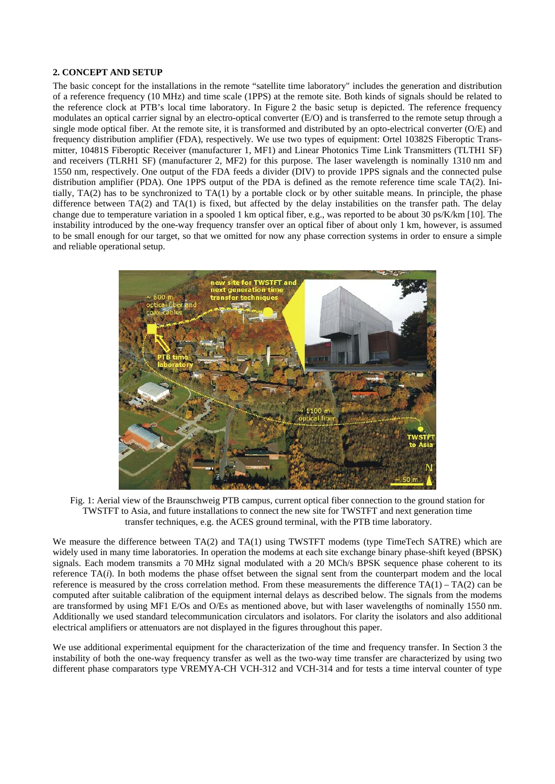# **2. CONCEPT AND SETUP**

The basic concept for the installations in the remote "satellite time laboratory" includes the generation and distribution of a reference frequency (10 MHz) and time scale (1PPS) at the remote site. Both kinds of signals should be related to the reference clock at PTB's local time laboratory. In Figure 2 the basic setup is depicted. The reference frequency modulates an optical carrier signal by an electro-optical converter (E/O) and is transferred to the remote setup through a single mode optical fiber. At the remote site, it is transformed and distributed by an opto-electrical converter (O/E) and frequency distribution amplifier (FDA), respectively. We use two types of equipment: Ortel 10382S Fiberoptic Transmitter, 10481S Fiberoptic Receiver (manufacturer 1, MF1) and Linear Photonics Time Link Transmitters (TLTH1 SF) and receivers (TLRH1 SF) (manufacturer 2, MF2) for this purpose. The laser wavelength is nominally 1310 nm and 1550 nm, respectively. One output of the FDA feeds a divider (DIV) to provide 1PPS signals and the connected pulse distribution amplifier (PDA). One 1PPS output of the PDA is defined as the remote reference time scale TA(2). Initially, TA(2) has to be synchronized to TA(1) by a portable clock or by other suitable means. In principle, the phase difference between  $TA(2)$  and  $TA(1)$  is fixed, but affected by the delay instabilities on the transfer path. The delay change due to temperature variation in a spooled 1 km optical fiber, e.g., was reported to be about 30 ps/K/km [10]. The instability introduced by the one-way frequency transfer over an optical fiber of about only 1 km, however, is assumed to be small enough for our target, so that we omitted for now any phase correction systems in order to ensure a simple and reliable operational setup.



Fig. 1: Aerial view of the Braunschweig PTB campus, current optical fiber connection to the ground station for TWSTFT to Asia, and future installations to connect the new site for TWSTFT and next generation time transfer techniques, e.g. the ACES ground terminal, with the PTB time laboratory.

We measure the difference between TA(2) and TA(1) using TWSTFT modems (type TimeTech SATRE) which are widely used in many time laboratories. In operation the modems at each site exchange binary phase-shift keyed (BPSK) signals. Each modem transmits a 70 MHz signal modulated with a 20 MCh/s BPSK sequence phase coherent to its reference TA(*i*). In both modems the phase offset between the signal sent from the counterpart modem and the local reference is measured by the cross correlation method. From these measurements the difference  $TA(1) - TA(2)$  can be computed after suitable calibration of the equipment internal delays as described below. The signals from the modems are transformed by using MF1 E/Os and O/Es as mentioned above, but with laser wavelengths of nominally 1550 nm. Additionally we used standard telecommunication circulators and isolators. For clarity the isolators and also additional electrical amplifiers or attenuators are not displayed in the figures throughout this paper.

We use additional experimental equipment for the characterization of the time and frequency transfer. In Section 3 the instability of both the one-way frequency transfer as well as the two-way time transfer are characterized by using two different phase comparators type VREMYA-CH VCH-312 and VCH-314 and for tests a time interval counter of type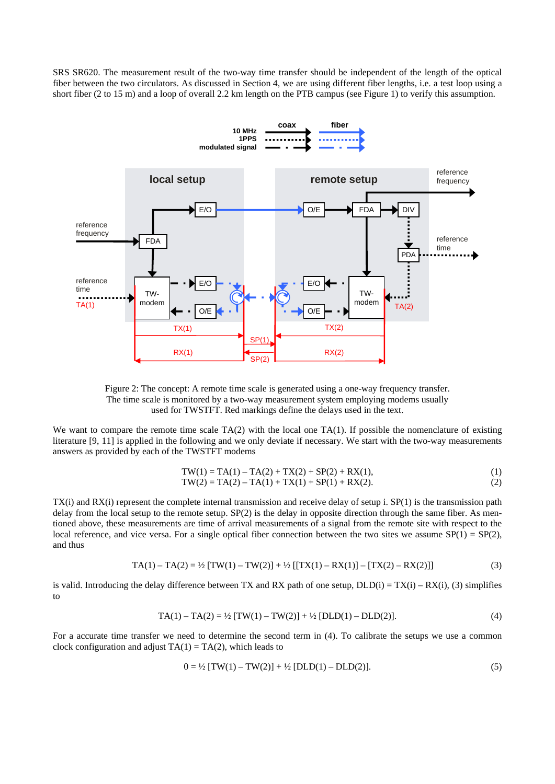SRS SR620. The measurement result of the two-way time transfer should be independent of the length of the optical fiber between the two circulators. As discussed in Section 4, we are using different fiber lengths, i.e. a test loop using a short fiber (2 to 15 m) and a loop of overall 2.2 km length on the PTB campus (see Figure 1) to verify this assumption.



Figure 2: The concept: A remote time scale is generated using a one-way frequency transfer. The time scale is monitored by a two-way measurement system employing modems usually used for TWSTFT. Red markings define the delays used in the text.

We want to compare the remote time scale  $TA(2)$  with the local one  $TA(1)$ . If possible the nomenclature of existing literature [9, 11] is applied in the following and we only deviate if necessary. We start with the two-way measurements answers as provided by each of the TWSTFT modems

$$
TW(1) = TA(1) - TA(2) + TX(2) + SP(2) + RX(1),
$$
  
\n
$$
TW(2) = TA(2) - TA(1) + TX(1) + SP(1) + RX(2).
$$
\n(1)

TX(i) and RX(i) represent the complete internal transmission and receive delay of setup i. SP(1) is the transmission path delay from the local setup to the remote setup. SP(2) is the delay in opposite direction through the same fiber. As mentioned above, these measurements are time of arrival measurements of a signal from the remote site with respect to the local reference, and vice versa. For a single optical fiber connection between the two sites we assume  $SP(1) = SP(2)$ , and thus

$$
TA(1) - TA(2) = \frac{1}{2} [TW(1) - TW(2)] + \frac{1}{2} [[TX(1) - RX(1)] - [TX(2) - RX(2)]] \tag{3}
$$

is valid. Introducing the delay difference between TX and RX path of one setup,  $DLD(i) = TX(i) - RX(i)$ , (3) simplifies to

$$
TA(1) - TA(2) = \frac{1}{2} [TW(1) - TW(2)] + \frac{1}{2} [DLD(1) - DLD(2)]. \tag{4}
$$

For a accurate time transfer we need to determine the second term in (4). To calibrate the setups we use a common clock configuration and adjust  $TA(1) = TA(2)$ , which leads to

$$
0 = \frac{1}{2} [TW(1) - TW(2)] + \frac{1}{2} [DLD(1) - DLD(2)]. \tag{5}
$$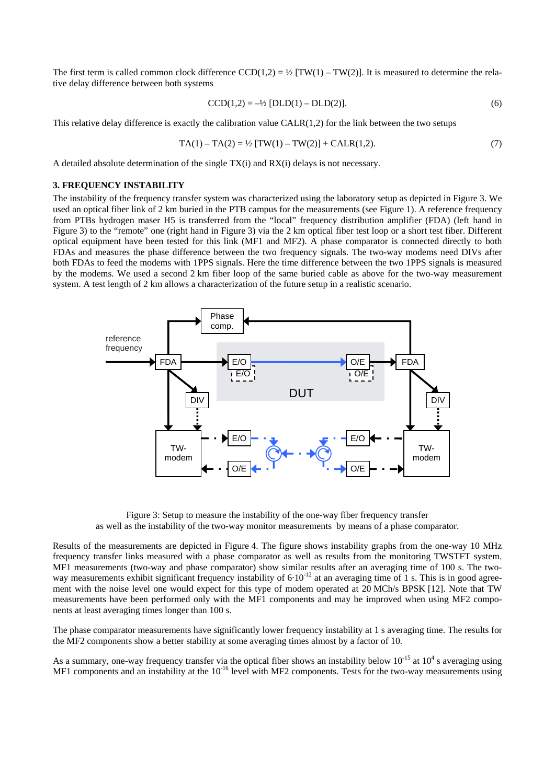The first term is called common clock difference  $CCD(1,2) = \frac{1}{2} [TW(1) - TW(2)]$ . It is measured to determine the relative delay difference between both systems

$$
CCD(1,2) = -\frac{1}{2} [DLD(1) - DLD(2)].
$$
\n(6)

This relative delay difference is exactly the calibration value  $CALR(1,2)$  for the link between the two setups

$$
TA(1) - TA(2) = \frac{1}{2} [TW(1) - TW(2)] + CALR(1,2).
$$
 (7)

A detailed absolute determination of the single TX(i) and RX(i) delays is not necessary.

### **3. FREQUENCY INSTABILITY**

The instability of the frequency transfer system was characterized using the laboratory setup as depicted in Figure 3. We used an optical fiber link of 2 km buried in the PTB campus for the measurements (see Figure 1). A reference frequency from PTBs hydrogen maser H5 is transferred from the "local" frequency distribution amplifier (FDA) (left hand in Figure 3) to the "remote" one (right hand in Figure 3) via the 2 km optical fiber test loop or a short test fiber. Different optical equipment have been tested for this link (MF1 and MF2). A phase comparator is connected directly to both FDAs and measures the phase difference between the two frequency signals. The two-way modems need DIVs after both FDAs to feed the modems with 1PPS signals. Here the time difference between the two 1PPS signals is measured by the modems. We used a second 2 km fiber loop of the same buried cable as above for the two-way measurement system. A test length of 2 km allows a characterization of the future setup in a realistic scenario.



Figure 3: Setup to measure the instability of the one-way fiber frequency transfer as well as the instability of the two-way monitor measurements by means of a phase comparator.

Results of the measurements are depicted in Figure 4. The figure shows instability graphs from the one-way 10 MHz frequency transfer links measured with a phase comparator as well as results from the monitoring TWSTFT system. MF1 measurements (two-way and phase comparator) show similar results after an averaging time of 100 s. The twoway measurements exhibit significant frequency instability of  $6·10^{-12}$  at an averaging time of 1 s. This is in good agreement with the noise level one would expect for this type of modem operated at 20 MCh/s BPSK [12]. Note that TW measurements have been performed only with the MF1 components and may be improved when using MF2 components at least averaging times longer than 100 s.

The phase comparator measurements have significantly lower frequency instability at 1 s averaging time. The results for the MF2 components show a better stability at some averaging times almost by a factor of 10.

As a summary, one-way frequency transfer via the optical fiber shows an instability below  $10^{-15}$  at  $10^4$  s averaging using MF1 components and an instability at the  $10^{-16}$  level with MF2 components. Tests for the two-way measurements using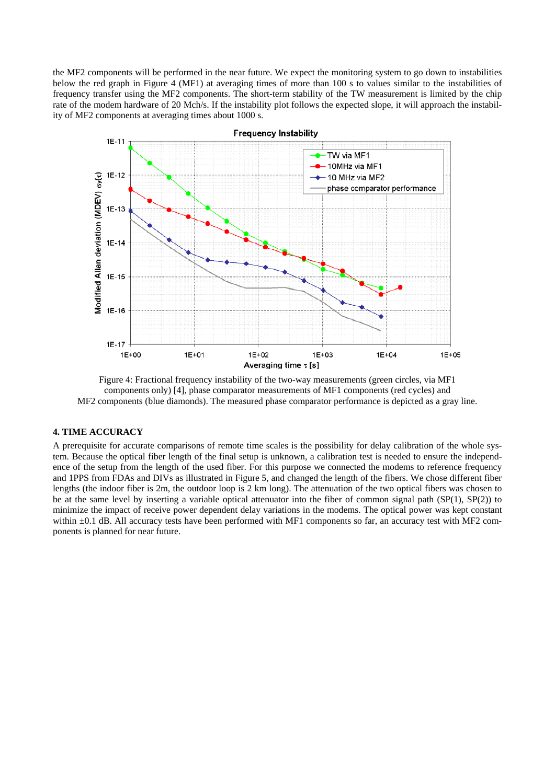the MF2 components will be performed in the near future. We expect the monitoring system to go down to instabilities below the red graph in Figure 4 (MF1) at averaging times of more than 100 s to values similar to the instabilities of frequency transfer using the MF2 components. The short-term stability of the TW measurement is limited by the chip rate of the modem hardware of 20 Mch/s. If the instability plot follows the expected slope, it will approach the instability of MF2 components at averaging times about 1000 s.



Figure 4: Fractional frequency instability of the two-way measurements (green circles, via MF1 components only) [4], phase comparator measurements of MF1 components (red cycles) and MF2 components (blue diamonds). The measured phase comparator performance is depicted as a gray line.

# **4. TIME ACCURACY**

A prerequisite for accurate comparisons of remote time scales is the possibility for delay calibration of the whole system. Because the optical fiber length of the final setup is unknown, a calibration test is needed to ensure the independence of the setup from the length of the used fiber. For this purpose we connected the modems to reference frequency and 1PPS from FDAs and DIVs as illustrated in Figure 5, and changed the length of the fibers. We chose different fiber lengths (the indoor fiber is 2m, the outdoor loop is 2 km long). The attenuation of the two optical fibers was chosen to be at the same level by inserting a variable optical attenuator into the fiber of common signal path (SP(1), SP(2)) to minimize the impact of receive power dependent delay variations in the modems. The optical power was kept constant within  $\pm 0.1$  dB. All accuracy tests have been performed with MF1 components so far, an accuracy test with MF2 components is planned for near future.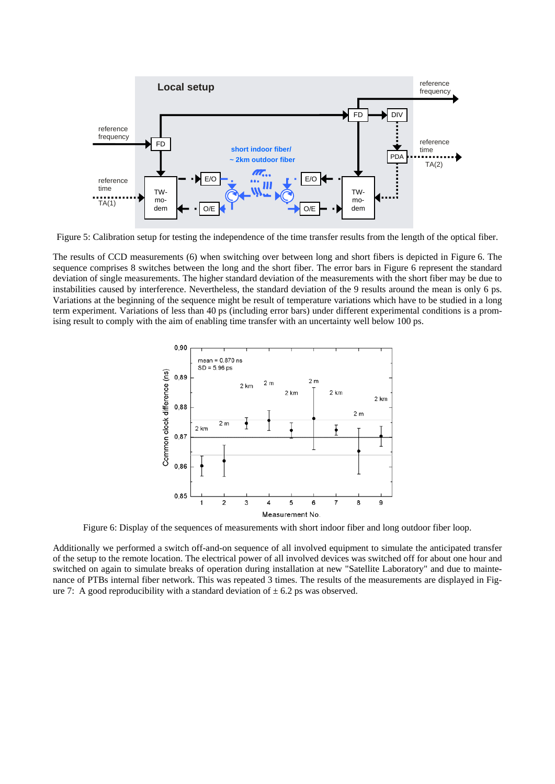

Figure 5: Calibration setup for testing the independence of the time transfer results from the length of the optical fiber.

The results of CCD measurements (6) when switching over between long and short fibers is depicted in Figure 6. The sequence comprises 8 switches between the long and the short fiber. The error bars in Figure 6 represent the standard deviation of single measurements. The higher standard deviation of the measurements with the short fiber may be due to instabilities caused by interference. Nevertheless, the standard deviation of the 9 results around the mean is only 6 ps. Variations at the beginning of the sequence might be result of temperature variations which have to be studied in a long term experiment. Variations of less than 40 ps (including error bars) under different experimental conditions is a promising result to comply with the aim of enabling time transfer with an uncertainty well below 100 ps.



Figure 6: Display of the sequences of measurements with short indoor fiber and long outdoor fiber loop.

Additionally we performed a switch off-and-on sequence of all involved equipment to simulate the anticipated transfer of the setup to the remote location. The electrical power of all involved devices was switched off for about one hour and switched on again to simulate breaks of operation during installation at new "Satellite Laboratory" and due to maintenance of PTBs internal fiber network. This was repeated 3 times. The results of the measurements are displayed in Figure 7: A good reproducibility with a standard deviation of  $\pm$  6.2 ps was observed.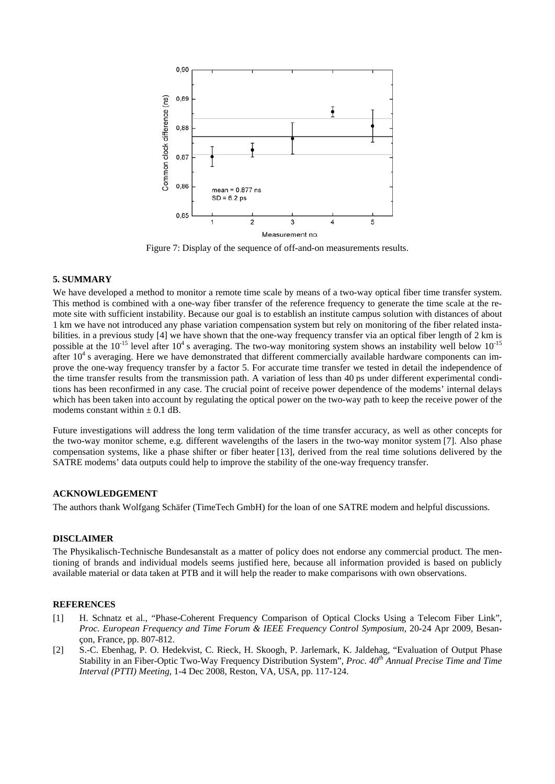

Figure 7: Display of the sequence of off-and-on measurements results.

#### **5. SUMMARY**

We have developed a method to monitor a remote time scale by means of a two-way optical fiber time transfer system. This method is combined with a one-way fiber transfer of the reference frequency to generate the time scale at the remote site with sufficient instability. Because our goal is to establish an institute campus solution with distances of about 1 km we have not introduced any phase variation compensation system but rely on monitoring of the fiber related instabilities. in a previous study [4] we have shown that the one-way frequency transfer via an optical fiber length of 2 km is possible at the  $10^{-15}$  level after  $10^4$  s averaging. The two-way monitoring system shows an instability well below  $10^{-15}$ after  $10<sup>4</sup>$  s averaging. Here we have demonstrated that different commercially available hardware components can improve the one-way frequency transfer by a factor 5. For accurate time transfer we tested in detail the independence of the time transfer results from the transmission path. A variation of less than 40 ps under different experimental conditions has been reconfirmed in any case. The crucial point of receive power dependence of the modems' internal delays which has been taken into account by regulating the optical power on the two-way path to keep the receive power of the modems constant within  $\pm$  0.1 dB.

Future investigations will address the long term validation of the time transfer accuracy, as well as other concepts for the two-way monitor scheme, e.g. different wavelengths of the lasers in the two-way monitor system [7]. Also phase compensation systems, like a phase shifter or fiber heater [13], derived from the real time solutions delivered by the SATRE modems' data outputs could help to improve the stability of the one-way frequency transfer.

## **ACKNOWLEDGEMENT**

The authors thank Wolfgang Schäfer (TimeTech GmbH) for the loan of one SATRE modem and helpful discussions.

### **DISCLAIMER**

The Physikalisch-Technische Bundesanstalt as a matter of policy does not endorse any commercial product. The mentioning of brands and individual models seems justified here, because all information provided is based on publicly available material or data taken at PTB and it will help the reader to make comparisons with own observations.

#### **REFERENCES**

- [1] H. Schnatz et al., "Phase-Coherent Frequency Comparison of Optical Clocks Using a Telecom Fiber Link", *Proc. European Frequency and Time Forum & IEEE Frequency Control Symposium*, 20-24 Apr 2009, Besançon, France, pp. 807-812.
- [2] S.-C. Ebenhag, P. O. Hedekvist, C. Rieck, H. Skoogh, P. Jarlemark, K. Jaldehag, "Evaluation of Output Phase Stability in an Fiber-Optic Two-Way Frequency Distribution System", *Proc. 40<sup>th</sup> Annual Precise Time and Time Interval (PTTI) Meeting*, 1-4 Dec 2008, Reston, VA, USA, pp. 117-124.